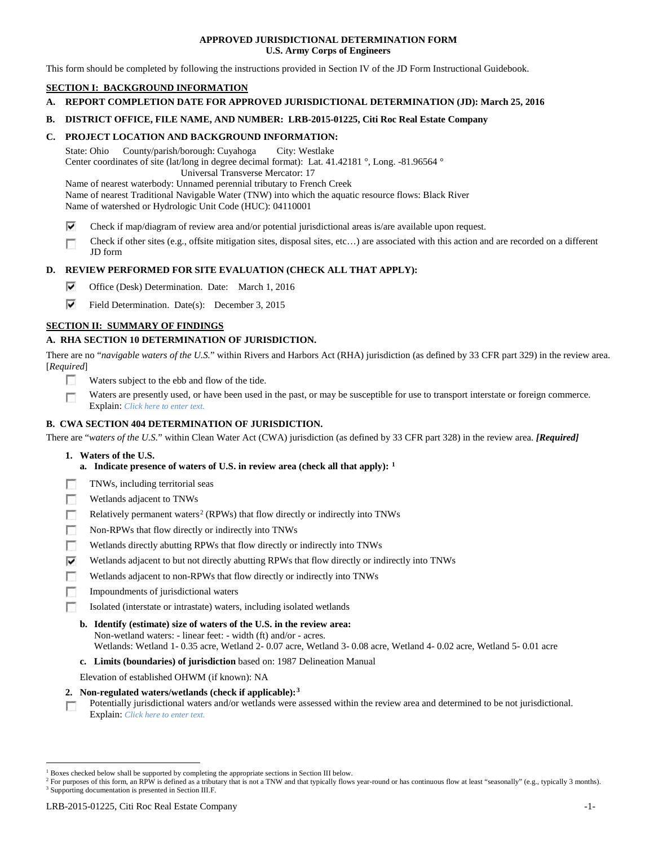## **APPROVED JURISDICTIONAL DETERMINATION FORM U.S. Army Corps of Engineers**

This form should be completed by following the instructions provided in Section IV of the JD Form Instructional Guidebook.

# **SECTION I: BACKGROUND INFORMATION**

- **A. REPORT COMPLETION DATE FOR APPROVED JURISDICTIONAL DETERMINATION (JD): March 25, 2016**
- **B. DISTRICT OFFICE, FILE NAME, AND NUMBER: LRB-2015-01225, Citi Roc Real Estate Company**

## **C. PROJECT LOCATION AND BACKGROUND INFORMATION:**

State: Ohio County/parish/borough: Cuyahoga City: Westlake Center coordinates of site (lat/long in degree decimal format): Lat. 41.42181 °, Long. -81.96564 ° Universal Transverse Mercator: 17

Name of nearest waterbody: Unnamed perennial tributary to French Creek Name of nearest Traditional Navigable Water (TNW) into which the aquatic resource flows: Black River Name of watershed or Hydrologic Unit Code (HUC): 04110001

- ⊽ Check if map/diagram of review area and/or potential jurisdictional areas is/are available upon request.
- Check if other sites (e.g., offsite mitigation sites, disposal sites, etc…) are associated with this action and are recorded on a different п JD form

## **D. REVIEW PERFORMED FOR SITE EVALUATION (CHECK ALL THAT APPLY):**

- ⊽ Office (Desk) Determination. Date: March 1, 2016
- ⊽ Field Determination. Date(s): December 3, 2015

## **SECTION II: SUMMARY OF FINDINGS**

## **A. RHA SECTION 10 DETERMINATION OF JURISDICTION.**

There are no "*navigable waters of the U.S.*" within Rivers and Harbors Act (RHA) jurisdiction (as defined by 33 CFR part 329) in the review area. [*Required*]

- n Waters subject to the ebb and flow of the tide.
- Waters are presently used, or have been used in the past, or may be susceptible for use to transport interstate or foreign commerce. п Explain: *Click here to enter text.*

## **B. CWA SECTION 404 DETERMINATION OF JURISDICTION.**

There are "*waters of the U.S.*" within Clean Water Act (CWA) jurisdiction (as defined by 33 CFR part 328) in the review area. *[Required]*

- **1. Waters of the U.S.**
	- **a. Indicate presence of waters of U.S. in review area (check all that apply): [1](#page-0-0)**
- F TNWs, including territorial seas
- п Wetlands adjacent to TNWs
- Relatively permanent waters<sup>[2](#page-0-1)</sup> (RPWs) that flow directly or indirectly into TNWs п
- Гō Non-RPWs that flow directly or indirectly into TNWs
- œ Wetlands directly abutting RPWs that flow directly or indirectly into TNWs
- ⊽ Wetlands adjacent to but not directly abutting RPWs that flow directly or indirectly into TNWs
- Wetlands adjacent to non-RPWs that flow directly or indirectly into TNWs п
- г Impoundments of jurisdictional waters
- Isolated (interstate or intrastate) waters, including isolated wetlands n.

#### **b. Identify (estimate) size of waters of the U.S. in the review area:** Non-wetland waters: - linear feet: - width (ft) and/or - acres. Wetlands: Wetland 1- 0.35 acre, Wetland 2- 0.07 acre, Wetland 3- 0.08 acre, Wetland 4- 0.02 acre, Wetland 5- 0.01 acre

**c. Limits (boundaries) of jurisdiction** based on: 1987 Delineation Manual

Elevation of established OHWM (if known): NA

- **2. Non-regulated waters/wetlands (check if applicable):[3](#page-0-2)**
- Potentially jurisdictional waters and/or wetlands were assessed within the review area and determined to be not jurisdictional. n Explain: *Click here to enter text.*

<span id="page-0-0"></span><sup>&</sup>lt;sup>1</sup> Boxes checked below shall be supported by completing the appropriate sections in Section III below.

<span id="page-0-2"></span><span id="page-0-1"></span><sup>&</sup>lt;sup>2</sup> For purposes of this form, an RPW is defined as a tributary that is not a TNW and that typically flows year-round or has continuous flow at least "seasonally" (e.g., typically 3 months). <sup>3</sup> Supporting documentation is presented in Section III.F.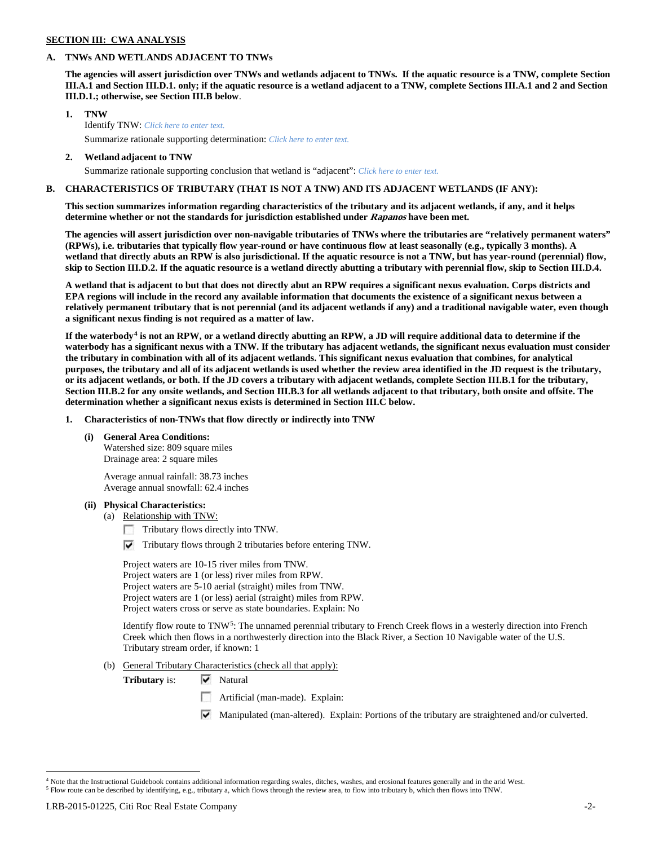#### **SECTION III: CWA ANALYSIS**

#### **A. TNWs AND WETLANDS ADJACENT TO TNWs**

**The agencies will assert jurisdiction over TNWs and wetlands adjacent to TNWs. If the aquatic resource is a TNW, complete Section III.A.1 and Section III.D.1. only; if the aquatic resource is a wetland adjacent to a TNW, complete Sections III.A.1 and 2 and Section III.D.1.; otherwise, see Section III.B below**.

- **1. TNW**  Identify TNW: *Click here to enter text.* Summarize rationale supporting determination: *Click here to enter text.*
- **2. Wetland adjacent to TNW**

Summarize rationale supporting conclusion that wetland is "adjacent": *Click here to enter text.*

## **B. CHARACTERISTICS OF TRIBUTARY (THAT IS NOT A TNW) AND ITS ADJACENT WETLANDS (IF ANY):**

**This section summarizes information regarding characteristics of the tributary and its adjacent wetlands, if any, and it helps determine whether or not the standards for jurisdiction established under Rapanos have been met.** 

**The agencies will assert jurisdiction over non-navigable tributaries of TNWs where the tributaries are "relatively permanent waters" (RPWs), i.e. tributaries that typically flow year-round or have continuous flow at least seasonally (e.g., typically 3 months). A wetland that directly abuts an RPW is also jurisdictional. If the aquatic resource is not a TNW, but has year-round (perennial) flow, skip to Section III.D.2. If the aquatic resource is a wetland directly abutting a tributary with perennial flow, skip to Section III.D.4.**

**A wetland that is adjacent to but that does not directly abut an RPW requires a significant nexus evaluation. Corps districts and EPA regions will include in the record any available information that documents the existence of a significant nexus between a relatively permanent tributary that is not perennial (and its adjacent wetlands if any) and a traditional navigable water, even though a significant nexus finding is not required as a matter of law.**

**If the waterbody[4](#page-1-0) is not an RPW, or a wetland directly abutting an RPW, a JD will require additional data to determine if the waterbody has a significant nexus with a TNW. If the tributary has adjacent wetlands, the significant nexus evaluation must consider the tributary in combination with all of its adjacent wetlands. This significant nexus evaluation that combines, for analytical purposes, the tributary and all of its adjacent wetlands is used whether the review area identified in the JD request is the tributary, or its adjacent wetlands, or both. If the JD covers a tributary with adjacent wetlands, complete Section III.B.1 for the tributary, Section III.B.2 for any onsite wetlands, and Section III.B.3 for all wetlands adjacent to that tributary, both onsite and offsite. The determination whether a significant nexus exists is determined in Section III.C below.**

**1. Characteristics of non-TNWs that flow directly or indirectly into TNW**

#### **(i) General Area Conditions:**

Watershed size: 809 square miles Drainage area: 2 square miles

Average annual rainfall: 38.73 inches Average annual snowfall: 62.4 inches

#### **(ii) Physical Characteristics:**

- (a) Relationship with TNW:
	- Tributary flows directly into TNW.
	- $\triangledown$  Tributary flows through 2 tributaries before entering TNW.

Project waters are 10-15 river miles from TNW. Project waters are 1 (or less) river miles from RPW. Project waters are 5-10 aerial (straight) miles from TNW. Project waters are 1 (or less) aerial (straight) miles from RPW. Project waters cross or serve as state boundaries. Explain: No

Identify flow route to TNW<sup>5</sup>: The unnamed perennial tributary to French Creek flows in a westerly direction into French Creek which then flows in a northwesterly direction into the Black River, a Section 10 Navigable water of the U.S. Tributary stream order, if known: 1

(b) General Tributary Characteristics (check all that apply):

**Tributary is:**  $\forall$  Natural

- Artificial (man-made). Explain:
- Manipulated (man-altered). Explain: Portions of the tributary are straightened and/or culverted.

<span id="page-1-1"></span><span id="page-1-0"></span><sup>&</sup>lt;sup>4</sup> Note that the Instructional Guidebook contains additional information regarding swales, ditches, washes, and erosional features generally and in the arid West.

<sup>5</sup> Flow route can be described by identifying, e.g., tributary a, which flows through the review area, to flow into tributary b, which then flows into TNW.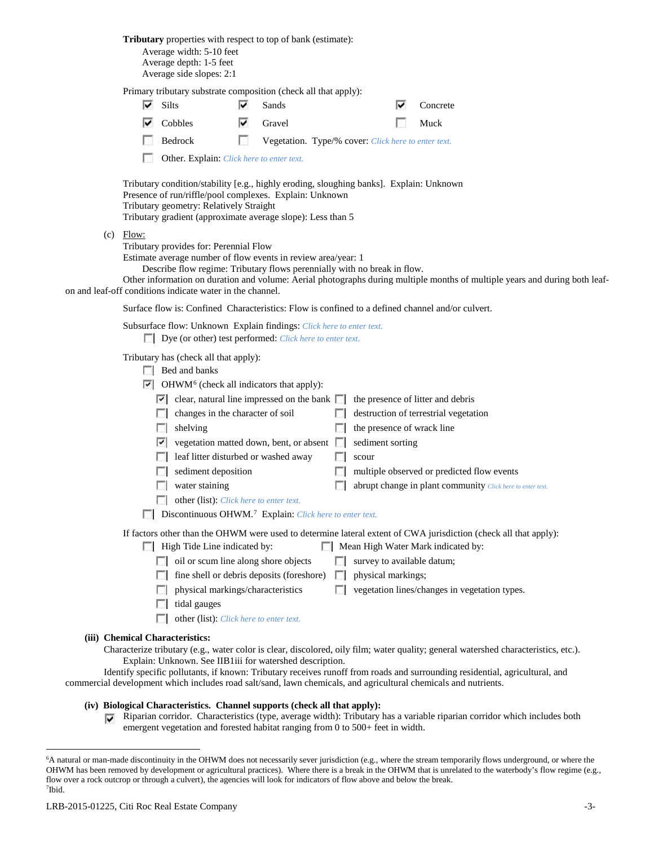**Tributary** properties with respect to top of bank (estimate): Average width: 5-10 feet Average depth: 1-5 feet Average side slopes: 2:1 Primary tributary substrate composition (check all that apply): ⊽  $\overline{\phantom{a}}$  Sands  $\overline{\phantom{a}}$  Concrete ⊽ Cobbles **V** Gravel Muck Bedrock **Vegetation.** Type/% cover: *Click here to enter text.*  $\sim$ Other. Explain: *Click here to enter text.* Tributary condition/stability [e.g., highly eroding, sloughing banks]. Explain: Unknown Presence of run/riffle/pool complexes. Explain: Unknown Tributary geometry: Relatively Straight Tributary gradient (approximate average slope): Less than 5  $(c)$  Flow: Tributary provides for: Perennial Flow Estimate average number of flow events in review area/year: 1 Describe flow regime: Tributary flows perennially with no break in flow. Other information on duration and volume: Aerial photographs during multiple months of multiple years and during both leafon and leaf-off conditions indicate water in the channel. Surface flow is: Confined Characteristics: Flow is confined to a defined channel and/or culvert. Subsurface flow: Unknown Explain findings: *Click here to enter text.* Dye (or other) test performed: *Click here to enter text.* Tributary has (check all that apply): Bed and banks  $\triangleright$  OHWM<sup>[6](#page-2-0)</sup> (check all indicators that apply):  $\vert \cdot \vert$  clear, natural line impressed on the bank  $\vert \cdot \vert$  the presence of litter and debris  $\Box$  changes in the character of soil  $\Box$  destruction of terrestrial vegetation  $\Box$  shelving the presence of wrack line  $\triangledown$  vegetation matted down, bent, or absent  $\triangledown$  sediment sorting  $\Box$  leaf litter disturbed or washed away  $\Box$  scour  $\Box$  sediment deposition  $\Box$  multiple observed or predicted flow events **Example 1** abrupt change in plant community *Click here to enter text.* other (list): *Click here to enter text.* Discontinuous OHWM.<sup>7</sup> Explain: *Click here to enter text.* If factors other than the OHWM were used to determine lateral extent of CWA jurisdiction (check all that apply):  $\Box$  High Tide Line indicated by:  $\Box$  Mean High Water Mark indicated by: oil or scum line along shore objects  $\Box$  survey to available datum;  $\Box$  fine shell or debris deposits (foreshore)  $\Box$  physical markings; physical markings/characteristics  $\Box$  vegetation lines/changes in vegetation types.  $\Box$  tidal gauges other (list): *Click here to enter text.* **(iii) Chemical Characteristics:** Characterize tributary (e.g., water color is clear, discolored, oily film; water quality; general watershed characteristics, etc.). Explain: Unknown. See IIB1iii for watershed description.

Identify specific pollutants, if known: Tributary receives runoff from roads and surrounding residential, agricultural, and commercial development which includes road salt/sand, lawn chemicals, and agricultural chemicals and nutrients.

#### **(iv) Biological Characteristics. Channel supports (check all that apply):**

 $\nabla$  Riparian corridor. Characteristics (type, average width): Tributary has a variable riparian corridor which includes both emergent vegetation and forested habitat ranging from 0 to 500+ feet in width.

<span id="page-2-1"></span><span id="page-2-0"></span> <sup>6</sup> <sup>6</sup>A natural or man-made discontinuity in the OHWM does not necessarily sever jurisdiction (e.g., where the stream temporarily flows underground, or where the OHWM has been removed by development or agricultural practices). Where there is a break in the OHWM that is unrelated to the waterbody's flow regime (e.g., flow over a rock outcrop or through a culvert), the agencies will look for indicators of flow above and below the break. 7 Ibid.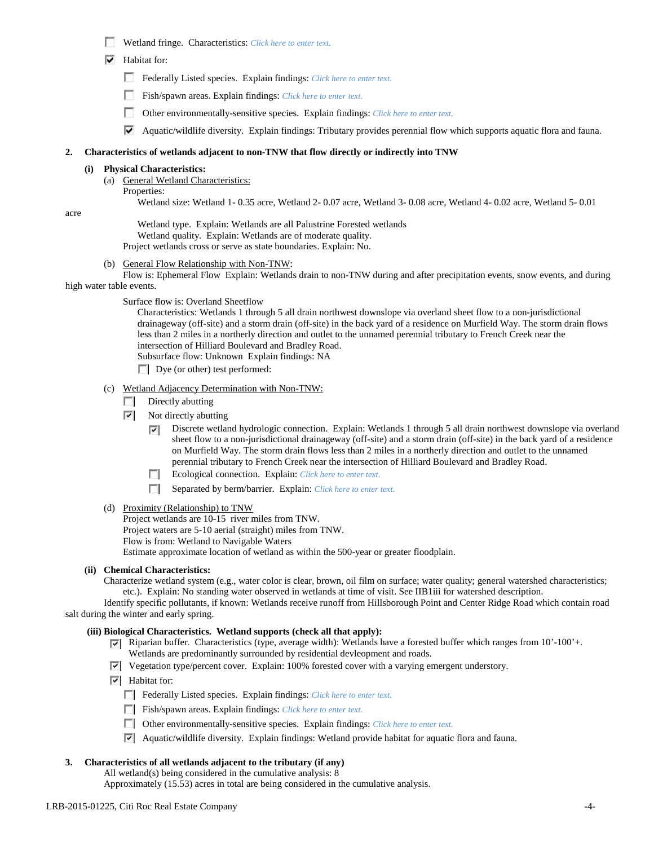- Wetland fringe. Characteristics: *Click here to enter text.*
- $\overline{\triangledown}$  Habitat for:
	- Federally Listed species. Explain findings: *Click here to enter text.*
	- Fish/spawn areas. Explain findings: *Click here to enter text.*
	- п Other environmentally-sensitive species. Explain findings: *Click here to enter text.*
	- $\blacktriangledown$  Aquatic/wildlife diversity. Explain findings: Tributary provides perennial flow which supports aquatic flora and fauna.

#### **2. Characteristics of wetlands adjacent to non-TNW that flow directly or indirectly into TNW**

#### **(i) Physical Characteristics:**

(a) General Wetland Characteristics:

Properties:

Wetland size: Wetland 1- 0.35 acre, Wetland 2- 0.07 acre, Wetland 3- 0.08 acre, Wetland 4- 0.02 acre, Wetland 5- 0.01

acre

Wetland type. Explain: Wetlands are all Palustrine Forested wetlands Wetland quality. Explain: Wetlands are of moderate quality. Project wetlands cross or serve as state boundaries. Explain: No.

(b) General Flow Relationship with Non-TNW:

Flow is: Ephemeral Flow Explain: Wetlands drain to non-TNW during and after precipitation events, snow events, and during high water table events.

Surface flow is: Overland Sheetflow

Characteristics: Wetlands 1 through 5 all drain northwest downslope via overland sheet flow to a non-jurisdictional drainageway (off-site) and a storm drain (off-site) in the back yard of a residence on Murfield Way. The storm drain flows less than 2 miles in a northerly direction and outlet to the unnamed perennial tributary to French Creek near the intersection of Hilliard Boulevard and Bradley Road.

Subsurface flow: Unknown Explain findings: NA

 $\Box$  Dye (or other) test performed:

## (c) Wetland Adjacency Determination with Non-TNW:

- Directly abutting  $\sim$
- $\overline{\phantom{a}}$ Not directly abutting
	- Discrete wetland hydrologic connection. Explain: Wetlands 1 through 5 all drain northwest downslope via overland ⊽ sheet flow to a non-jurisdictional drainageway (off-site) and a storm drain (off-site) in the back yard of a residence on Murfield Way. The storm drain flows less than 2 miles in a northerly direction and outlet to the unnamed perennial tributary to French Creek near the intersection of Hilliard Boulevard and Bradley Road.
	- Ecological connection. Explain: *Click here to enter text.*
	- Separated by berm/barrier. Explain: *Click here to enter text.*
- (d) Proximity (Relationship) to TNW

Project wetlands are 10-15 river miles from TNW. Project waters are 5-10 aerial (straight) miles from TNW. Flow is from: Wetland to Navigable Waters

Estimate approximate location of wetland as within the 500-year or greater floodplain.

# **(ii) Chemical Characteristics:**

Characterize wetland system (e.g., water color is clear, brown, oil film on surface; water quality; general watershed characteristics; etc.). Explain: No standing water observed in wetlands at time of visit. See IIB1iii for watershed description.

Identify specific pollutants, if known: Wetlands receive runoff from Hillsborough Point and Center Ridge Road which contain road salt during the winter and early spring.

#### **(iii) Biological Characteristics. Wetland supports (check all that apply):**

- Riparian buffer. Characteristics (type, average width): Wetlands have a forested buffer which ranges from 10'-100'+. Wetlands are predominantly surrounded by residential devleopment and roads.
- Vegetation type/percent cover. Explain: 100% forested cover with a varying emergent understory.
- $\triangledown$  Habitat for:
	- Federally Listed species. Explain findings: *Click here to enter text.*
	- Fish/spawn areas. Explain findings: *Click here to enter text.*
	- Other environmentally-sensitive species. Explain findings: *Click here to enter text.*
	- Aquatic/wildlife diversity. Explain findings: Wetland provide habitat for aquatic flora and fauna.

## **3. Characteristics of all wetlands adjacent to the tributary (if any)**

All wetland(s) being considered in the cumulative analysis: 8

Approximately (15.53) acres in total are being considered in the cumulative analysis.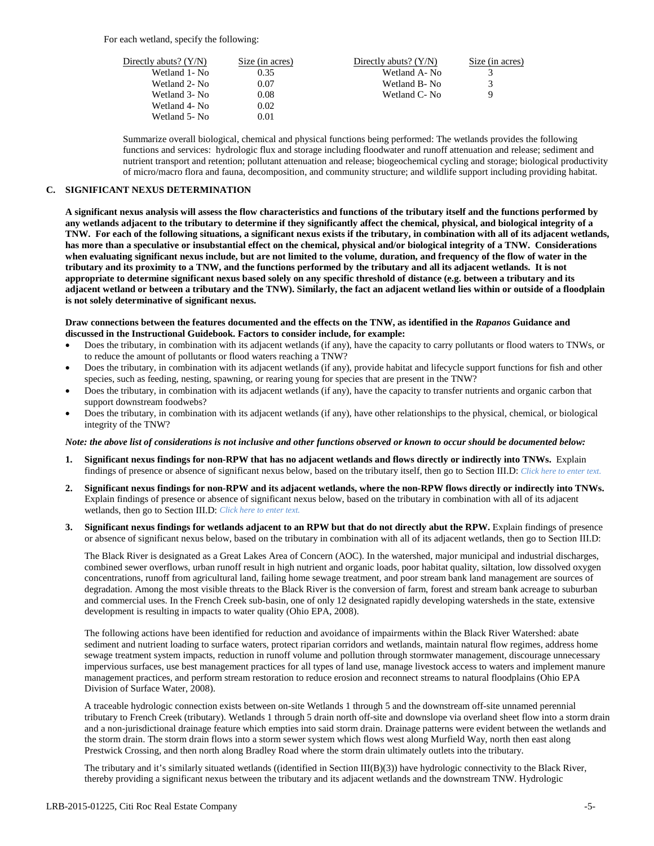For each wetland, specify the following:

| Directly abuts? $(Y/N)$ | Size (in acres) | Directly abuts? $(Y/N)$ | Size (in acres) |
|-------------------------|-----------------|-------------------------|-----------------|
| Wetland 1- No           | 0.35            | Wetland A-No            |                 |
| Wetland 2- No           | 0.07            | Wetland B-No            |                 |
| Wetland 3- No           | 0.08            | Wetland C-No            | Q               |
| Wetland 4- No           | 0.02            |                         |                 |
| Wetland 5- No           | 0.01            |                         |                 |

Summarize overall biological, chemical and physical functions being performed: The wetlands provides the following functions and services: hydrologic flux and storage including floodwater and runoff attenuation and release; sediment and nutrient transport and retention; pollutant attenuation and release; biogeochemical cycling and storage; biological productivity of micro/macro flora and fauna, decomposition, and community structure; and wildlife support including providing habitat.

## **C. SIGNIFICANT NEXUS DETERMINATION**

**A significant nexus analysis will assess the flow characteristics and functions of the tributary itself and the functions performed by any wetlands adjacent to the tributary to determine if they significantly affect the chemical, physical, and biological integrity of a TNW. For each of the following situations, a significant nexus exists if the tributary, in combination with all of its adjacent wetlands, has more than a speculative or insubstantial effect on the chemical, physical and/or biological integrity of a TNW. Considerations when evaluating significant nexus include, but are not limited to the volume, duration, and frequency of the flow of water in the tributary and its proximity to a TNW, and the functions performed by the tributary and all its adjacent wetlands. It is not appropriate to determine significant nexus based solely on any specific threshold of distance (e.g. between a tributary and its adjacent wetland or between a tributary and the TNW). Similarly, the fact an adjacent wetland lies within or outside of a floodplain is not solely determinative of significant nexus.** 

#### **Draw connections between the features documented and the effects on the TNW, as identified in the** *Rapanos* **Guidance and discussed in the Instructional Guidebook. Factors to consider include, for example:**

- Does the tributary, in combination with its adjacent wetlands (if any), have the capacity to carry pollutants or flood waters to TNWs, or to reduce the amount of pollutants or flood waters reaching a TNW?
- Does the tributary, in combination with its adjacent wetlands (if any), provide habitat and lifecycle support functions for fish and other species, such as feeding, nesting, spawning, or rearing young for species that are present in the TNW?
- Does the tributary, in combination with its adjacent wetlands (if any), have the capacity to transfer nutrients and organic carbon that support downstream foodwebs?
- Does the tributary, in combination with its adjacent wetlands (if any), have other relationships to the physical, chemical, or biological integrity of the TNW?

#### *Note: the above list of considerations is not inclusive and other functions observed or known to occur should be documented below:*

- **1. Significant nexus findings for non-RPW that has no adjacent wetlands and flows directly or indirectly into TNWs.** Explain findings of presence or absence of significant nexus below, based on the tributary itself, then go to Section III.D: *Click here to enter text.*
- **2. Significant nexus findings for non-RPW and its adjacent wetlands, where the non-RPW flows directly or indirectly into TNWs.**  Explain findings of presence or absence of significant nexus below, based on the tributary in combination with all of its adjacent wetlands, then go to Section III.D: *Click here to enter text.*
- **3. Significant nexus findings for wetlands adjacent to an RPW but that do not directly abut the RPW.** Explain findings of presence or absence of significant nexus below, based on the tributary in combination with all of its adjacent wetlands, then go to Section III.D:

The Black River is designated as a Great Lakes Area of Concern (AOC). In the watershed, major municipal and industrial discharges, combined sewer overflows, urban runoff result in high nutrient and organic loads, poor habitat quality, siltation, low dissolved oxygen concentrations, runoff from agricultural land, failing home sewage treatment, and poor stream bank land management are sources of degradation. Among the most visible threats to the Black River is the conversion of farm, forest and stream bank acreage to suburban and commercial uses. In the French Creek sub-basin, one of only 12 designated rapidly developing watersheds in the state, extensive development is resulting in impacts to water quality (Ohio EPA, 2008).

The following actions have been identified for reduction and avoidance of impairments within the Black River Watershed: abate sediment and nutrient loading to surface waters, protect riparian corridors and wetlands, maintain natural flow regimes, address home sewage treatment system impacts, reduction in runoff volume and pollution through stormwater management, discourage unnecessary impervious surfaces, use best management practices for all types of land use, manage livestock access to waters and implement manure management practices, and perform stream restoration to reduce erosion and reconnect streams to natural floodplains (Ohio EPA Division of Surface Water, 2008).

A traceable hydrologic connection exists between on-site Wetlands 1 through 5 and the downstream off-site unnamed perennial tributary to French Creek (tributary). Wetlands 1 through 5 drain north off-site and downslope via overland sheet flow into a storm drain and a non-jurisdictional drainage feature which empties into said storm drain. Drainage patterns were evident between the wetlands and the storm drain. The storm drain flows into a storm sewer system which flows west along Murfield Way, north then east along Prestwick Crossing, and then north along Bradley Road where the storm drain ultimately outlets into the tributary.

The tributary and it's similarly situated wetlands ((identified in Section III(B)(3)) have hydrologic connectivity to the Black River, thereby providing a significant nexus between the tributary and its adjacent wetlands and the downstream TNW. Hydrologic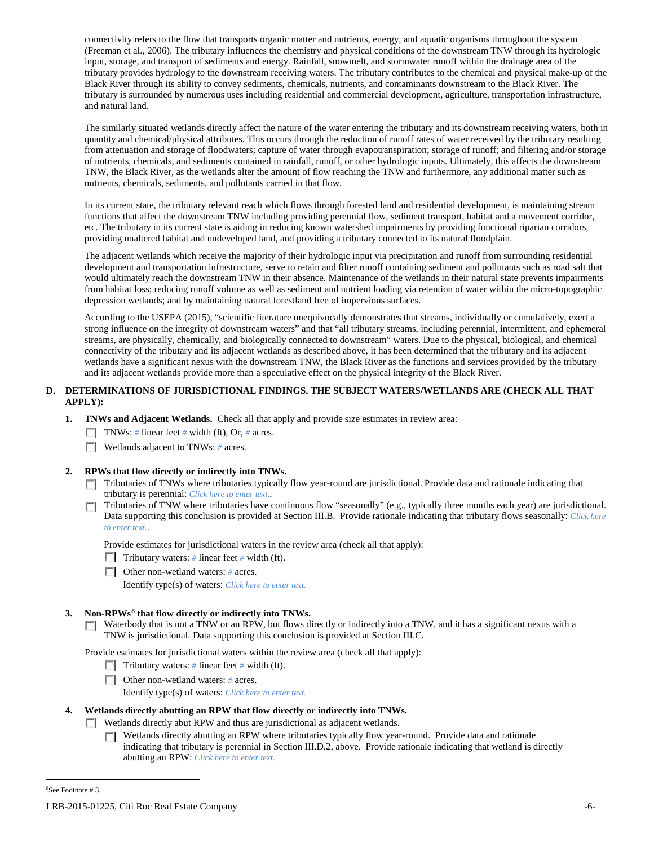connectivity refers to the flow that transports organic matter and nutrients, energy, and aquatic organisms throughout the system (Freeman et al., 2006). The tributary influences the chemistry and physical conditions of the downstream TNW through its hydrologic input, storage, and transport of sediments and energy. Rainfall, snowmelt, and stormwater runoff within the drainage area of the tributary provides hydrology to the downstream receiving waters. The tributary contributes to the chemical and physical make-up of the Black River through its ability to convey sediments, chemicals, nutrients, and contaminants downstream to the Black River. The tributary is surrounded by numerous uses including residential and commercial development, agriculture, transportation infrastructure, and natural land.

The similarly situated wetlands directly affect the nature of the water entering the tributary and its downstream receiving waters, both in quantity and chemical/physical attributes. This occurs through the reduction of runoff rates of water received by the tributary resulting from attenuation and storage of floodwaters; capture of water through evapotranspiration; storage of runoff; and filtering and/or storage of nutrients, chemicals, and sediments contained in rainfall, runoff, or other hydrologic inputs. Ultimately, this affects the downstream TNW, the Black River, as the wetlands alter the amount of flow reaching the TNW and furthermore, any additional matter such as nutrients, chemicals, sediments, and pollutants carried in that flow.

In its current state, the tributary relevant reach which flows through forested land and residential development, is maintaining stream functions that affect the downstream TNW including providing perennial flow, sediment transport, habitat and a movement corridor, etc. The tributary in its current state is aiding in reducing known watershed impairments by providing functional riparian corridors, providing unaltered habitat and undeveloped land, and providing a tributary connected to its natural floodplain.

The adjacent wetlands which receive the majority of their hydrologic input via precipitation and runoff from surrounding residential development and transportation infrastructure, serve to retain and filter runoff containing sediment and pollutants such as road salt that would ultimately reach the downstream TNW in their absence. Maintenance of the wetlands in their natural state prevents impairments from habitat loss; reducing runoff volume as well as sediment and nutrient loading via retention of water within the micro-topographic depression wetlands; and by maintaining natural forestland free of impervious surfaces.

According to the USEPA (2015), "scientific literature unequivocally demonstrates that streams, individually or cumulatively, exert a strong influence on the integrity of downstream waters" and that "all tributary streams, including perennial, intermittent, and ephemeral streams, are physically, chemically, and biologically connected to downstream" waters. Due to the physical, biological, and chemical connectivity of the tributary and its adjacent wetlands as described above, it has been determined that the tributary and its adjacent wetlands have a significant nexus with the downstream TNW, the Black River as the functions and services provided by the tributary and its adjacent wetlands provide more than a speculative effect on the physical integrity of the Black River.

## **D. DETERMINATIONS OF JURISDICTIONAL FINDINGS. THE SUBJECT WATERS/WETLANDS ARE (CHECK ALL THAT APPLY):**

- **1. TNWs and Adjacent Wetlands.** Check all that apply and provide size estimates in review area:
	- TNWs: *#* linear feet *#* width (ft), Or, *#* acres.
	- **Wetlands adjacent to TNWs:** # acres.

## **2. RPWs that flow directly or indirectly into TNWs.**

- Tributaries of TNWs where tributaries typically flow year-round are jurisdictional. Provide data and rationale indicating that tributary is perennial: *Click here to enter text.*.
- Tributaries of TNW where tributaries have continuous flow "seasonally" (e.g., typically three months each year) are jurisdictional.  $\sim$ Data supporting this conclusion is provided at Section III.B. Provide rationale indicating that tributary flows seasonally: *Click here to enter text.*.

Provide estimates for jurisdictional waters in the review area (check all that apply):

- Tributary waters: # linear feet # width (ft).
- Other non-wetland waters: *#* acres.

Identify type(s) of waters: *Click here to enter text.*

## **3. Non-RPWs[8](#page-5-0) that flow directly or indirectly into TNWs.**

 $\Box$  Waterbody that is not a TNW or an RPW, but flows directly or indirectly into a TNW, and it has a significant nexus with a TNW is jurisdictional. Data supporting this conclusion is provided at Section III.C.

Provide estimates for jurisdictional waters within the review area (check all that apply):

- **Tributary waters:** # linear feet # width (ft).
- Other non-wetland waters: *#* acres.

Identify type(s) of waters: *Click here to enter text.*

## **4. Wetlands directly abutting an RPW that flow directly or indirectly into TNWs.**

Wetlands directly abut RPW and thus are jurisdictional as adjacent wetlands.

Wetlands directly abutting an RPW where tributaries typically flow year-round. Provide data and rationale Г. indicating that tributary is perennial in Section III.D.2, above. Provide rationale indicating that wetland is directly abutting an RPW: *Click here to enter text.*

<span id="page-5-0"></span> $\frac{1}{8}$ See Footnote # 3.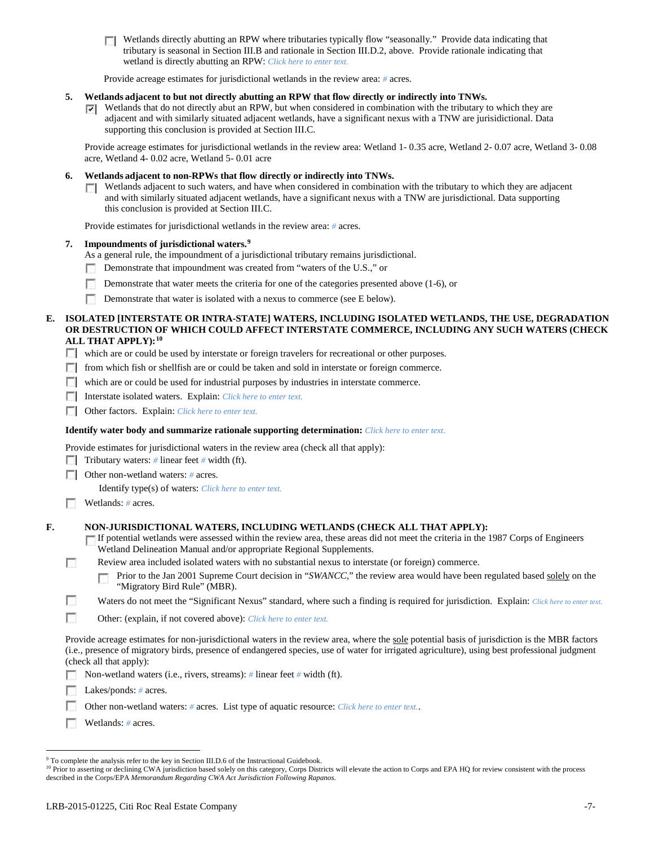Wetlands directly abutting an RPW where tributaries typically flow "seasonally." Provide data indicating that tributary is seasonal in Section III.B and rationale in Section III.D.2, above. Provide rationale indicating that wetland is directly abutting an RPW: *Click here to enter text.*

Provide acreage estimates for jurisdictional wetlands in the review area: *#* acres.

### **5. Wetlands adjacent to but not directly abutting an RPW that flow directly or indirectly into TNWs.**

 $\blacktriangleright$  Wetlands that do not directly abut an RPW, but when considered in combination with the tributary to which they are adjacent and with similarly situated adjacent wetlands, have a significant nexus with a TNW are jurisidictional. Data supporting this conclusion is provided at Section III.C.

Provide acreage estimates for jurisdictional wetlands in the review area: Wetland 1- 0.35 acre, Wetland 2- 0.07 acre, Wetland 3- 0.08 acre, Wetland 4- 0.02 acre, Wetland 5- 0.01 acre

#### **6. Wetlands adjacent to non-RPWs that flow directly or indirectly into TNWs.**

**Netlands adjacent to such waters, and have when considered in combination with the tributary to which they are adjacent** and with similarly situated adjacent wetlands, have a significant nexus with a TNW are jurisdictional. Data supporting this conclusion is provided at Section III.C.

Provide estimates for jurisdictional wetlands in the review area: *#* acres.

### **7. Impoundments of jurisdictional waters. [9](#page-6-0)**

- As a general rule, the impoundment of a jurisdictional tributary remains jurisdictional.
- n Demonstrate that impoundment was created from "waters of the U.S.," or
- Demonstrate that water meets the criteria for one of the categories presented above (1-6), or
- Demonstrate that water is isolated with a nexus to commerce (see E below).

## **E. ISOLATED [INTERSTATE OR INTRA-STATE] WATERS, INCLUDING ISOLATED WETLANDS, THE USE, DEGRADATION OR DESTRUCTION OF WHICH COULD AFFECT INTERSTATE COMMERCE, INCLUDING ANY SUCH WATERS (CHECK ALL THAT APPLY):[10](#page-6-1)**

- which are or could be used by interstate or foreign travelers for recreational or other purposes.
- from which fish or shellfish are or could be taken and sold in interstate or foreign commerce.
- which are or could be used for industrial purposes by industries in interstate commerce.
- Interstate isolated waters.Explain: *Click here to enter text.*
- Other factors.Explain: *Click here to enter text.*

#### **Identify water body and summarize rationale supporting determination:** *Click here to enter text.*

Provide estimates for jurisdictional waters in the review area (check all that apply):

- Tributary waters: # linear feet # width (ft).
- Other non-wetland waters: *#* acres.

Identify type(s) of waters: *Click here to enter text.*

**Wetlands:** # acres.

Г

**In** 

#### **F. NON-JURISDICTIONAL WATERS, INCLUDING WETLANDS (CHECK ALL THAT APPLY):**

- If potential wetlands were assessed within the review area, these areas did not meet the criteria in the 1987 Corps of Engineers Wetland Delineation Manual and/or appropriate Regional Supplements.
- Review area included isolated waters with no substantial nexus to interstate (or foreign) commerce.
	- Prior to the Jan 2001 Supreme Court decision in "*SWANCC*," the review area would have been regulated based solely on the "Migratory Bird Rule" (MBR).
- п Waters do not meet the "Significant Nexus" standard, where such a finding is required for jurisdiction. Explain: *Click here to enter text.*
- n Other: (explain, if not covered above): *Click here to enter text.*

Provide acreage estimates for non-jurisdictional waters in the review area, where the sole potential basis of jurisdiction is the MBR factors (i.e., presence of migratory birds, presence of endangered species, use of water for irrigated agriculture), using best professional judgment (check all that apply):

- Non-wetland waters (i.e., rivers, streams): *#* linear feet *#* width (ft). Г
- Lakes/ponds: # acres.
- Other non-wetland waters: *#* acres. List type of aquatic resource: *Click here to enter text.*.
- Wetlands: *#* acres.

<span id="page-6-0"></span><sup>&</sup>lt;sup>9</sup> To complete the analysis refer to the key in Section III.D.6 of the Instructional Guidebook.

<span id="page-6-1"></span><sup>&</sup>lt;sup>10</sup> Prior to asserting or declining CWA jurisdiction based solely on this category, Corps Districts will elevate the action to Corps and EPA HQ for review consistent with the process described in the Corps/EPA *Memorandum Regarding CWA Act Jurisdiction Following Rapanos.*